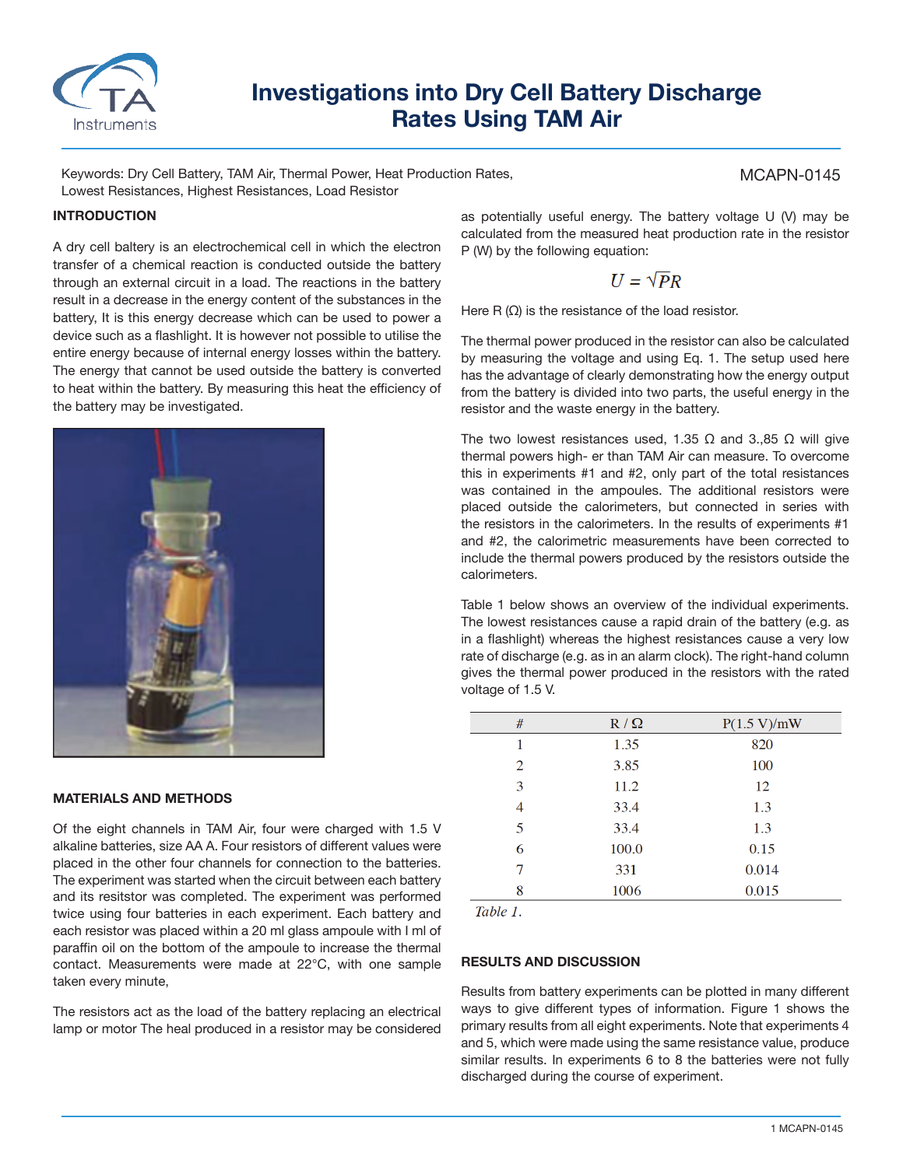

# **Investigations into Dry Cell Battery Discharge Rates Using TAM Air**

Keywords: Dry Cell Battery, TAM Air, Thermal Power, Heat Production Rates, Lowest Resistances, Highest Resistances, Load Resistor

## **INTRODUCTION**

A dry cell baltery is an electrochemical cell in which the electron transfer of a chemical reaction is conducted outside the battery through an external circuit in a load. The reactions in the battery result in a decrease in the energy content of the substances in the battery, It is this energy decrease which can be used to power a device such as a flashlight. It is however not possible to utilise the entire energy because of internal energy losses within the battery. The energy that cannot be used outside the battery is converted to heat within the battery. By measuring this heat the efficiency of the battery may be investigated.



### **MATERIALS AND METHODS**

Of the eight channels in TAM Air, four were charged with 1.5 V alkaline batteries, size AA A. Four resistors of different values were placed in the other four channels for connection to the batteries. The experiment was started when the circuit between each battery and its resitstor was completed. The experiment was performed twice using four batteries in each experiment. Each battery and each resistor was placed within a 20 ml glass ampoule with I ml of paraffin oil on the bottom of the ampoule to increase the thermal contact. Measurements were made at 22°C, with one sample taken every minute,

The resistors act as the load of the battery replacing an electrical lamp or motor The heal produced in a resistor may be considered as potentially useful energy. The battery voltage U (V) may be calculated from the measured heat production rate in the resistor P (W) by the following equation:

$$
U=\sqrt{P}R
$$

Here R  $(\Omega)$  is the resistance of the load resistor.

The thermal power produced in the resistor can also be calculated by measuring the voltage and using Eq. 1. The setup used here has the advantage of clearly demonstrating how the energy output from the battery is divided into two parts, the useful energy in the resistor and the waste energy in the battery.

The two lowest resistances used, 1.35  $\Omega$  and 3.,85  $\Omega$  will give thermal powers high- er than TAM Air can measure. To overcome this in experiments #1 and #2, only part of the total resistances was contained in the ampoules. The additional resistors were placed outside the calorimeters, but connected in series with the resistors in the calorimeters. In the results of experiments #1 and #2, the calorimetric measurements have been corrected to include the thermal powers produced by the resistors outside the calorimeters.

Table 1 below shows an overview of the individual experiments. The lowest resistances cause a rapid drain of the battery (e.g. as in a flashlight) whereas the highest resistances cause a very low rate of discharge (e.g. as in an alarm clock). The right-hand column gives the thermal power produced in the resistors with the rated voltage of 1.5 V.

| #              | $R / \Omega$ | P(1.5 V)/mW |
|----------------|--------------|-------------|
| 1              | 1.35         | 820         |
| $\overline{2}$ | 3.85         | 100         |
| 3              | 11.2         | 12          |
| 4              | 33.4         | 1.3         |
| 5              | 33.4         | 1.3         |
| 6              | 100.0        | 0.15        |
| 7              | 331          | 0.014       |
| 8              | 1006         | 0.015       |

Table 1.

#### **RESULTS AND DISCUSSION**

Results from battery experiments can be plotted in many different ways to give different types of information. Figure 1 shows the primary results from all eight experiments. Note that experiments 4 and 5, which were made using the same resistance value, produce similar results. In experiments 6 to 8 the batteries were not fully discharged during the course of experiment.

MCAPN-0145